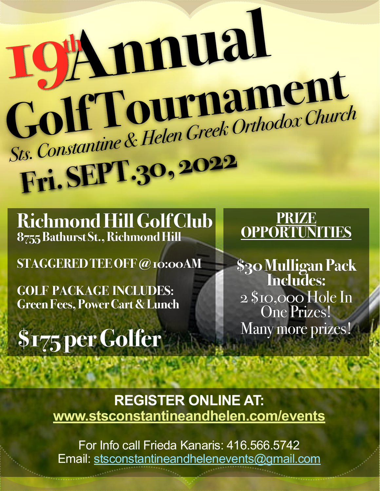# $\frac{19}{19}$  mual Golf Tournament Sts. Constantine & Helen Greek Orthodox Church **Fri. SEPT.30, 2022**

**Richmond Hill Golf Club 8755 Bathurst St., Richmond Hill**

**STAGGERED TEE OFF @ 10:00AM**

**GOLF PACKAGE INCLUDES: Green Fees, Power Cart & Lunch**

**\$175 per Golfer**

## **PRIZE OPPORTUNITIES**

**\$30 Mulligan Pack Includes:** 2 \$10,000 Hole In One Prizes! Many more prizes!

**REGISTER ONLINE AT: [www.stsconstantineandhelen.com/events](http://www.stsconstantineandhelen.com/events)**

For Info call Frieda Kanaris: 416.566.5742 Email: [stsconstantineandhelenevents@gmail.com](http://www.apple.com)